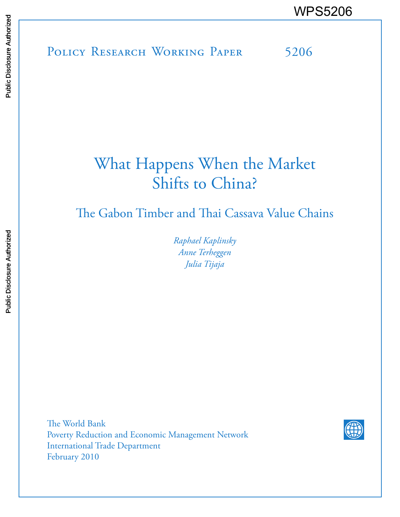POLICY RESEARCH WORKING PAPER 5206 WPS5206<br>
Media<br>
Media<br>
Policy Research Working Paper 5206<br>
Policy Research Working Paper 5206

# What Happens When the Market Shifts to China?

The Gabon Timber and Thai Cassava Value Chains

*Raphael Kaplinsky Anne Terheggen Julia Tijaja*

The World Bank Poverty Reduction and Economic Management Network International Trade Department February 2010

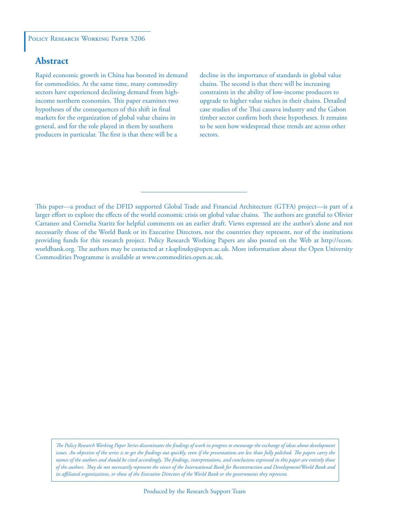#### POLICY RESEARCH WORKING PAPER 5206

# **Abstract**

Rapid economic growth in China has boosted its demand for commodities. At the same time, many commodity sectors have experienced declining demand from highincome northern economies. This paper examines two hypotheses of the consequences of this shift in final markets for the organization of global value chains in general, and for the role played in them by southern producers in particular. The first is that there will be a

decline in the importance of standards in global value chains. The second is that there will be increasing constraints in the ability of low-income producers to upgrade to higher value niches in their chains. Detailed case studies of the Thai cassava industry and the Gabon timber sector confirm both these hypotheses. It remains to be seen how widespread these trends are across other sectors.

This paper—a product of the DFID supported Global Trade and Financial Architecture (GTFA) project—is part of a larger effort to explore the effects of the world economic crisis on global value chains. The authors are grateful to Olivier Cattaneo and Cornelia Staritz for helpful comments on an earlier draft. Views expressed are the author's alone and not necessarily those of the World Bank or its Executive Directors, nor the countries they represent, nor of the institutions providing funds for this research project. Policy Research Working Papers are also posted on the Web at http://econ. worldbank.org. The authors may be contacted at r.kaplinsky@open.ac.uk. More information about the Open University Commodities Programme is available at www.commodities.open.ac.uk.

*The Policy Research Working Paper Series disseminates the findings of work in progress to encourage the exchange of ideas about development*  issues. An objective of the series is to get the findings out quickly, even if the presentations are less than fully polished. The papers carry the *names of the authors and should be cited accordingly. The findings, interpretations, and conclusions expressed in this paper are entirely those of the authors. They do not necessarily represent the views of the International Bank for Reconstruction and Development/World Bank and its affiliated organizations, or those of the Executive Directors of the World Bank or the governments they represent.*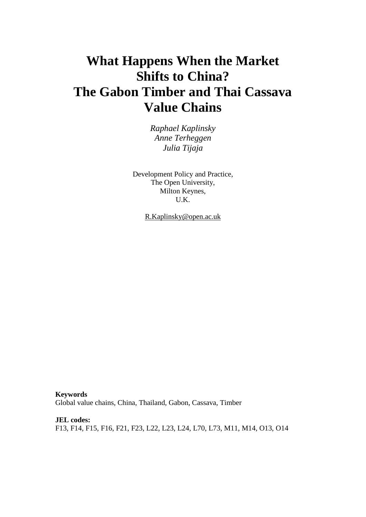# **What Happens When the Market Shifts to China? The Gabon Timber and Thai Cassava Value Chains**

*Raphael Kaplinsky Anne Terheggen Julia Tijaja*

Development Policy and Practice, The Open University, Milton Keynes, U.K.

[R.Kaplinsky@open.ac.uk](mailto:R.Kaplinsky@open.ac.uk)

**Keywords** Global value chains, China, Thailand, Gabon, Cassava, Timber

### **JEL codes:**

F13, F14, F15, F16, F21, F23, L22, L23, L24, L70, L73, M11, M14, O13, O14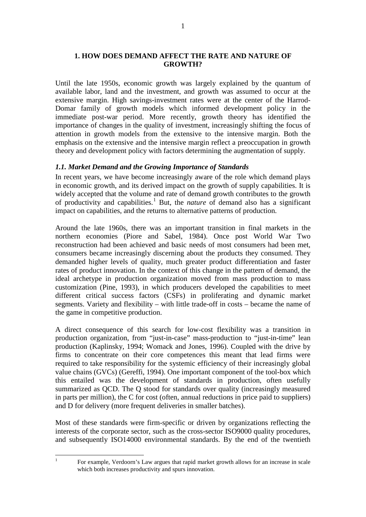Until the late 1950s, economic growth was largely explained by the quantum of available labor, land and the investment, and growth was assumed to occur at the extensive margin. High savings-investment rates were at the center of the Harrod-Domar family of growth models which informed development policy in the immediate post-war period. More recently, growth theory has identified the importance of changes in the quality of investment, increasingly shifting the focus of attention in growth models from the extensive to the intensive margin. Both the emphasis on the extensive and the intensive margin reflect a preoccupation in growth theory and development policy with factors determining the augmentation of supply.

# *1.1. Market Demand and the Growing Importance of Standards*

In recent years, we have become increasingly aware of the role which demand plays in economic growth, and its derived impact on the growth of supply capabilities. It is widely accepted that the volume and rate of demand growth contributes to the growth of productivity and capabilities.[1](#page-3-0) But, the *nature* of demand also has a significant impact on capabilities, and the returns to alternative patterns of production.

Around the late 1960s, there was an important transition in final markets in the northern economies (Piore and Sabel, 1984). Once post World War Two reconstruction had been achieved and basic needs of most consumers had been met, consumers became increasingly discerning about the products they consumed. They demanded higher levels of quality, much greater product differentiation and faster rates of product innovation. In the context of this change in the pattern of demand, the ideal archetype in production organization moved from mass production to mass customization (Pine, 1993), in which producers developed the capabilities to meet different critical success factors (CSFs) in proliferating and dynamic market segments. Variety and flexibility – with little trade-off in costs – became the name of the game in competitive production.

A direct consequence of this search for low-cost flexibility was a transition in production organization, from "just-in-case" mass-production to "just-in-time" lean production (Kaplinsky, 1994; Womack and Jones, 1996). Coupled with the drive by firms to concentrate on their core competences this meant that lead firms were required to take responsibility for the systemic efficiency of their increasingly global value chains (GVCs) (Gereffi, 1994). One important component of the tool-box which this entailed was the development of standards in production, often usefully summarized as QCD. The Q stood for standards over quality (increasingly measured in parts per million), the C for cost (often, annual reductions in price paid to suppliers) and D for delivery (more frequent deliveries in smaller batches).

Most of these standards were firm-specific or driven by organizations reflecting the interests of the corporate sector, such as the cross-sector ISO9000 quality procedures, and subsequently ISO14000 environmental standards. By the end of the twentieth

<span id="page-3-0"></span><sup>&</sup>lt;sup>1</sup> For example, Verdoorn's Law argues that rapid market growth allows for an increase in scale which both increases productivity and spurs innovation.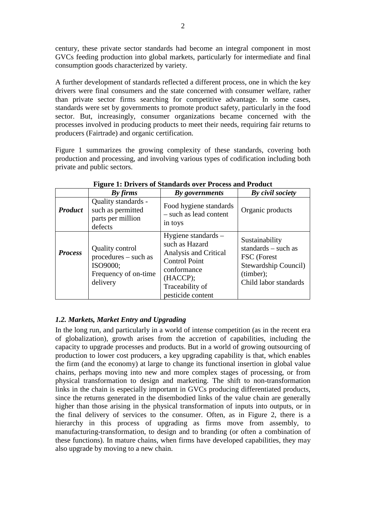century, these private sector standards had become an integral component in most GVCs feeding production into global markets, particularly for intermediate and final consumption goods characterized by variety.

A further development of standards reflected a different process, one in which the key drivers were final consumers and the state concerned with consumer welfare, rather than private sector firms searching for competitive advantage. In some cases, standards were set by governments to promote product safety, particularly in the food sector. But, increasingly, consumer organizations became concerned with the processes involved in producing products to meet their needs, requiring fair returns to producers (Fairtrade) and organic certification.

Figure 1 summarizes the growing complexity of these standards, covering both production and processing, and involving various types of codification including both private and public sectors.

|                | By firms                                                                                | By governments                                                                                                                                              | By civil society                                                                                                   |
|----------------|-----------------------------------------------------------------------------------------|-------------------------------------------------------------------------------------------------------------------------------------------------------------|--------------------------------------------------------------------------------------------------------------------|
| <b>Product</b> | Quality standards -<br>such as permitted<br>parts per million<br>defects                | Food hygiene standards<br>- such as lead content<br>in toys                                                                                                 | Organic products                                                                                                   |
| <b>Process</b> | Quality control<br>procedures – such as<br>ISO9000;<br>Frequency of on-time<br>delivery | Hygiene standards $-$<br>such as Hazard<br>Analysis and Critical<br><b>Control Point</b><br>conformance<br>(HACCP);<br>Traceability of<br>pesticide content | Sustainability<br>standards – such as<br>FSC (Forest<br>Stewardship Council)<br>(timber);<br>Child labor standards |

**Figure 1: Drivers of Standards over Process and Product**

# *1.2. Markets, Market Entry and Upgrading*

In the long run, and particularly in a world of intense competition (as in the recent era of globalization), growth arises from the accretion of capabilities, including the capacity to upgrade processes and products. But in a world of growing outsourcing of production to lower cost producers, a key upgrading capability is that, which enables the firm (and the economy) at large to change its functional insertion in global value chains, perhaps moving into new and more complex stages of processing, or from physical transformation to design and marketing. The shift to non-transformation links in the chain is especially important in GVCs producing differentiated products, since the returns generated in the disembodied links of the value chain are generally higher than those arising in the physical transformation of inputs into outputs, or in the final delivery of services to the consumer. Often, as in Figure 2, there is a hierarchy in this process of upgrading as firms move from assembly, to manufacturing-transformation, to design and to branding (or often a combination of these functions). In mature chains, when firms have developed capabilities, they may also upgrade by moving to a new chain.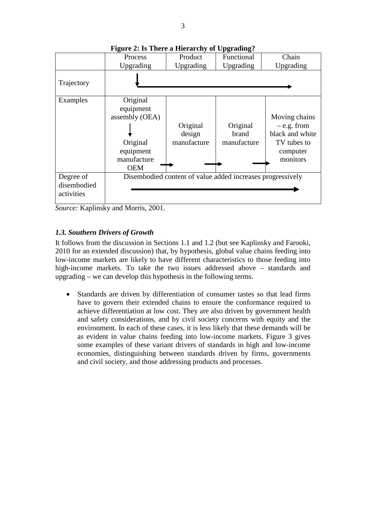

**Figure 2: Is There a Hierarchy of Upgrading?**

*Source:* Kaplinsky and Morris, 2001.

# *1.3. Southern Drivers of Growth*

It follows from the discussion in Sections 1.1 and 1.2 (but see Kaplinsky and Farooki, 2010 for an extended discussion) that, by hypothesis, global value chains feeding into low-income markets are likely to have different characteristics to those feeding into high-income markets. To take the two issues addressed above – standards and upgrading – we can develop this hypothesis in the following terms.

• Standards are driven by differentiation of consumer tastes so that lead firms have to govern their extended chains to ensure the conformance required to achieve differentiation at low cost. They are also driven by government health and safety considerations, and by civil society concerns with equity and the environment. In each of these cases, it is less likely that these demands will be as evident in value chains feeding into low-income markets. Figure 3 gives some examples of these variant drivers of standards in high and low-income economies, distinguishing between standards driven by firms, governments and civil society, and those addressing products and processes.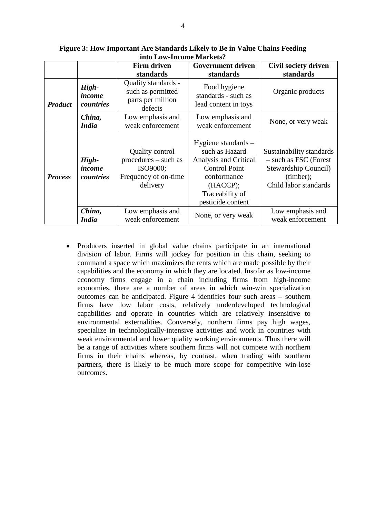|                |                                     | <b>Firm driven</b><br>standards                                                         | <b>Government driven</b><br>standards                                                                                                                       | Civil society driven<br>standards                                                                                 |
|----------------|-------------------------------------|-----------------------------------------------------------------------------------------|-------------------------------------------------------------------------------------------------------------------------------------------------------------|-------------------------------------------------------------------------------------------------------------------|
| <b>Product</b> | High-<br>income<br>countries        | Quality standards -<br>such as permitted<br>parts per million<br>defects                | Food hygiene<br>standards - such as<br>lead content in toys                                                                                                 | Organic products                                                                                                  |
|                | China,<br><b>India</b>              | Low emphasis and<br>weak enforcement                                                    | Low emphasis and<br>weak enforcement                                                                                                                        | None, or very weak                                                                                                |
| <b>Process</b> | High-<br>income<br><i>countries</i> | Quality control<br>procedures – such as<br>ISO9000;<br>Frequency of on-time<br>delivery | Hygiene standards $-$<br>such as Hazard<br>Analysis and Critical<br><b>Control Point</b><br>conformance<br>(HACCP);<br>Traceability of<br>pesticide content | Sustainability standards<br>$-$ such as FSC (Forest<br>Stewardship Council)<br>(timber);<br>Child labor standards |
|                | China,<br><b>India</b>              | Low emphasis and<br>weak enforcement                                                    | None, or very weak                                                                                                                                          | Low emphasis and<br>weak enforcement                                                                              |

**Figure 3: How Important Are Standards Likely to Be in Value Chains Feeding into Low-Income Markets?**

• Producers inserted in global value chains participate in an international division of labor. Firms will jockey for position in this chain, seeking to command a space which maximizes the rents which are made possible by their capabilities and the economy in which they are located. Insofar as low-income economy firms engage in a chain including firms from high-income economies, there are a number of areas in which win-win specialization outcomes can be anticipated. Figure 4 identifies four such areas – southern firms have low labor costs, relatively underdeveloped technological capabilities and operate in countries which are relatively insensitive to environmental externalities. Conversely, northern firms pay high wages, specialize in technologically-intensive activities and work in countries with weak environmental and lower quality working environments. Thus there will be a range of activities where southern firms will not compete with northern firms in their chains whereas, by contrast, when trading with southern partners, there is likely to be much more scope for competitive win-lose outcomes.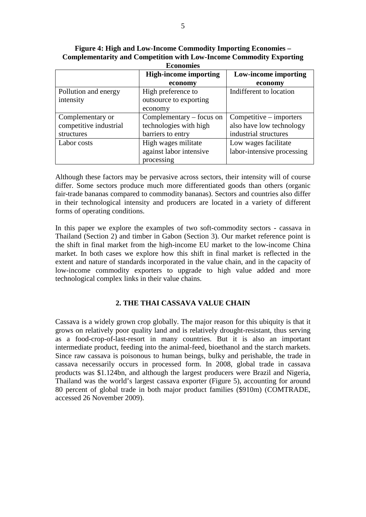|                        | <b>High-income importing</b> | Low-income importing       |  |  |  |  |
|------------------------|------------------------------|----------------------------|--|--|--|--|
|                        | economy                      | economy                    |  |  |  |  |
| Pollution and energy   | High preference to           | Indifferent to location    |  |  |  |  |
| intensity              | outsource to exporting       |                            |  |  |  |  |
|                        | economy                      |                            |  |  |  |  |
| Complementary or       | Complementary $-$ focus on   | $Competitive - importers$  |  |  |  |  |
| competitive industrial | technologies with high       | also have low technology   |  |  |  |  |
| structures             | barriers to entry            | industrial structures      |  |  |  |  |
| Labor costs            | High wages militate          | Low wages facilitate       |  |  |  |  |
|                        | against labor intensive      | labor-intensive processing |  |  |  |  |
|                        | processing                   |                            |  |  |  |  |

**Figure 4: High and Low-Income Commodity Importing Economies – Complementarity and Competition with Low-Income Commodity Exporting Economies**

Although these factors may be pervasive across sectors, their intensity will of course differ. Some sectors produce much more differentiated goods than others (organic fair-trade bananas compared to commodity bananas). Sectors and countries also differ in their technological intensity and producers are located in a variety of different forms of operating conditions.

In this paper we explore the examples of two soft-commodity sectors - cassava in Thailand (Section 2) and timber in Gabon (Section 3). Our market reference point is the shift in final market from the high-income EU market to the low-income China market. In both cases we explore how this shift in final market is reflected in the extent and nature of standards incorporated in the value chain, and in the capacity of low-income commodity exporters to upgrade to high value added and more technological complex links in their value chains.

#### **2. THE THAI CASSAVA VALUE CHAIN**

Cassava is a widely grown crop globally. The major reason for this ubiquity is that it grows on relatively poor quality land and is relatively drought-resistant, thus serving as a food-crop-of-last-resort in many countries. But it is also an important intermediate product, feeding into the animal-feed, bioethanol and the starch markets. Since raw cassava is poisonous to human beings, bulky and perishable, the trade in cassava necessarily occurs in processed form. In 2008, global trade in cassava products was \$1.124bn, and although the largest producers were Brazil and Nigeria, Thailand was the world's largest cassava exporter (Figure 5), accounting for around 80 percent of global trade in both major product families (\$910m) (COMTRADE, accessed 26 November 2009).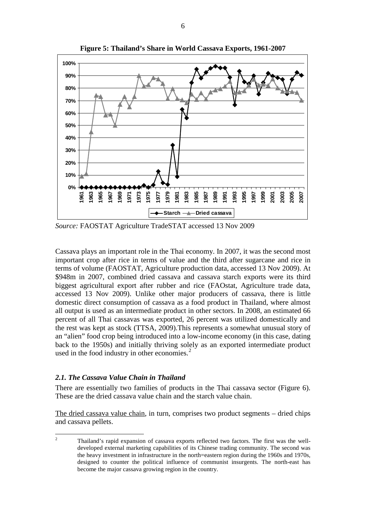

**Figure 5: Thailand's Share in World Cassava Exports, 1961-2007**

*Source:* FAOSTAT Agriculture TradeSTAT accessed 13 Nov 2009

Cassava plays an important role in the Thai economy. In 2007, it was the second most important crop after rice in terms of value and the third after sugarcane and rice in terms of volume (FAOSTAT, Agriculture production data, accessed 13 Nov 2009). At \$948m in 2007, combined dried cassava and cassava starch exports were its third biggest agricultural export after rubber and rice (FAOstat, Agriculture trade data, accessed 13 Nov 2009). Unlike other major producers of cassava, there is little domestic direct consumption of cassava as a food product in Thailand, where almost all output is used as an intermediate product in other sectors. In 2008, an estimated 66 percent of all Thai cassavas was exported, 26 percent was utilized domestically and the rest was kept as stock (TTSA, 2009).This represents a somewhat unusual story of an "alien" food crop being introduced into a low-income economy (in this case, dating back to the 1950s) and initially thriving solely as an exported intermediate product used in the food industry in other economies. $<sup>2</sup>$  $<sup>2</sup>$  $<sup>2</sup>$ </sup>

#### *2.1. The Cassava Value Chain in Thailand*

There are essentially two families of products in the Thai cassava sector (Figure 6). These are the dried cassava value chain and the starch value chain.

The dried cassava value chain, in turn, comprises two product segments – dried chips and cassava pellets.

<span id="page-8-0"></span> $2^2$  Thailand's rapid expansion of cassava exports reflected two factors. The first was the welldeveloped external marketing capabilities of its Chinese trading community. The second was the heavy investment in infrastructure in the north=eastern region during the 1960s and 1970s, designed to counter the political influence of communist insurgents. The north-east has become the major cassava growing region in the country.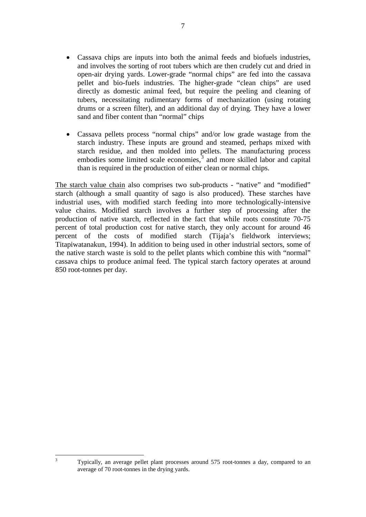- Cassava chips are inputs into both the animal feeds and biofuels industries, and involves the sorting of root tubers which are then crudely cut and dried in open-air drying yards. Lower-grade "normal chips" are fed into the cassava pellet and bio-fuels industries. The higher-grade "clean chips" are used directly as domestic animal feed, but require the peeling and cleaning of tubers, necessitating rudimentary forms of mechanization (using rotating drums or a screen filter), and an additional day of drying. They have a lower sand and fiber content than "normal" chips
- Cassava pellets process "normal chips" and/or low grade wastage from the starch industry. These inputs are ground and steamed, perhaps mixed with starch residue, and then molded into pellets. The manufacturing process embodies some limited scale economies,<sup>[3](#page-9-0)</sup> and more skilled labor and capital than is required in the production of either clean or normal chips.

The starch value chain also comprises two sub-products - "native" and "modified" starch (although a small quantity of sago is also produced). These starches have industrial uses, with modified starch feeding into more technologically-intensive value chains. Modified starch involves a further step of processing after the production of native starch, reflected in the fact that while roots constitute 70-75 percent of total production cost for native starch, they only account for around 46 percent of the costs of modified starch (Tijaja's fieldwork interviews; Titapiwatanakun, 1994). In addition to being used in other industrial sectors, some of the native starch waste is sold to the pellet plants which combine this with "normal" cassava chips to produce animal feed. The typical starch factory operates at around 850 root-tonnes per day.

<span id="page-9-0"></span><sup>&</sup>lt;sup>3</sup> Typically, an average pellet plant processes around 575 root-tonnes a day, compared to an average of 70 root-tonnes in the drying yards.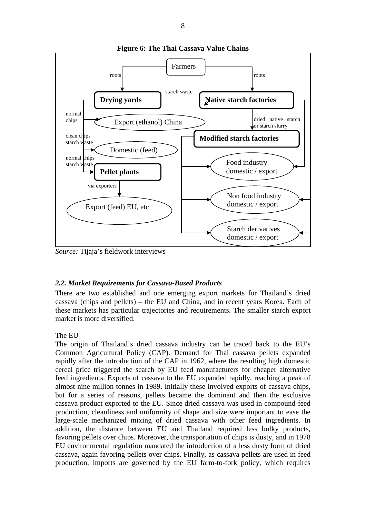

**Figure 6: The Thai Cassava Value Chains**

*Source:* Tijaja's fieldwork interviews

#### *2.2. Market Requirements for Cassava-Based Products*

There are two established and one emerging export markets for Thailand's dried cassava (chips and pellets) – the EU and China, and in recent years Korea. Each of these markets has particular trajectories and requirements. The smaller starch export market is more diversified.

#### The EU

The origin of Thailand's dried cassava industry can be traced back to the EU's Common Agricultural Policy (CAP). Demand for Thai cassava pellets expanded rapidly after the introduction of the CAP in 1962, where the resulting high domestic cereal price triggered the search by EU feed manufacturers for cheaper alternative feed ingredients. Exports of cassava to the EU expanded rapidly, reaching a peak of almost nine million tonnes in 1989. Initially these involved exports of cassava chips, but for a series of reasons, pellets became the dominant and then the exclusive cassava product exported to the EU. Since dried cassava was used in compound-feed production, cleanliness and uniformity of shape and size were important to ease the large-scale mechanized mixing of dried cassava with other feed ingredients. In addition, the distance between EU and Thailand required less bulky products, favoring pellets over chips. Moreover, the transportation of chips is dusty, and in 1978 EU environmental regulation mandated the introduction of a less dusty form of dried cassava, again favoring pellets over chips. Finally, as cassava pellets are used in feed production, imports are governed by the EU farm-to-fork policy, which requires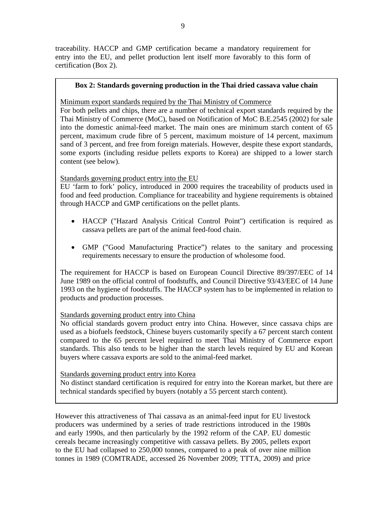traceability. HACCP and GMP certification became a mandatory requirement for entry into the EU, and pellet production lent itself more favorably to this form of certification (Box 2).

# **Box 2: Standards governing production in the Thai dried cassava value chain**

Minimum export standards required by the Thai Ministry of Commerce

For both pellets and chips, there are a number of technical export standards required by the Thai Ministry of Commerce (MoC), based on Notification of MoC B.E.2545 (2002) for sale into the domestic animal-feed market. The main ones are minimum starch content of 65 percent, maximum crude fibre of 5 percent, maximum moisture of 14 percent, maximum sand of 3 percent, and free from foreign materials. However, despite these export standards, some exports (including residue pellets exports to Korea) are shipped to a lower starch content (see below).

# Standards governing product entry into the EU

EU 'farm to fork' policy, introduced in 2000 requires the traceability of products used in food and feed production. Compliance for traceability and hygiene requirements is obtained through HACCP and GMP certifications on the pellet plants.

- HACCP ("Hazard Analysis Critical Control Point") certification is required as cassava pellets are part of the animal feed-food chain.
- GMP ("Good Manufacturing Practice") relates to the sanitary and processing requirements necessary to ensure the production of wholesome food.

The requirement for HACCP is based on European Council Directive 89/397/EEC of 14 June 1989 on the official control of foodstuffs, and Council Directive 93/43/EEC of 14 June 1993 on the hygiene of foodstuffs. The HACCP system has to be implemented in relation to products and production processes.

Standards governing product entry into China

No official standards govern product entry into China. However, since cassava chips are used as a biofuels feedstock, Chinese buyers customarily specify a 67 percent starch content compared to the 65 percent level required to meet Thai Ministry of Commerce export standards. This also tends to be higher than the starch levels required by EU and Korean buyers where cassava exports are sold to the animal-feed market.

Standards governing product entry into Korea

No distinct standard certification is required for entry into the Korean market, but there are technical standards specified by buyers (notably a 55 percent starch content).

However this attractiveness of Thai cassava as an animal-feed input for EU livestock producers was undermined by a series of trade restrictions introduced in the 1980s and early 1990s, and then particularly by the 1992 reform of the CAP. EU domestic cereals became increasingly competitive with cassava pellets. By 2005, pellets export to the EU had collapsed to 250,000 tonnes, compared to a peak of over nine million tonnes in 1989 (COMTRADE, accessed 26 November 2009; TTTA, 2009) and price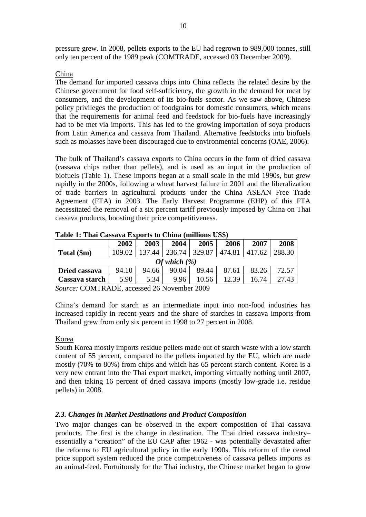pressure grew. In 2008, pellets exports to the EU had regrown to 989,000 tonnes, still only ten percent of the 1989 peak (COMTRADE, accessed 03 December 2009).

## China

The demand for imported cassava chips into China reflects the related desire by the Chinese government for food self-sufficiency, the growth in the demand for meat by consumers, and the development of its bio-fuels sector. As we saw above, Chinese policy privileges the production of foodgrains for domestic consumers, which means that the requirements for animal feed and feedstock for bio-fuels have increasingly had to be met via imports. This has led to the growing importation of soya products from Latin America and cassava from Thailand. Alternative feedstocks into biofuels such as molasses have been discouraged due to environmental concerns (OAE, 2006).

The bulk of Thailand's cassava exports to China occurs in the form of dried cassava (cassava chips rather than pellets), and is used as an input in the production of biofuels (Table 1). These imports began at a small scale in the mid 1990s, but grew rapidly in the 2000s, following a wheat harvest failure in 2001 and the liberalization of trade barriers in agricultural products under the China ASEAN Free Trade Agreement (FTA) in 2003. The Early Harvest Programme (EHP) of this FTA necessitated the removal of a six percent tariff previously imposed by China on Thai cassava products, boosting their price competitiveness.

|                                                                              | 2002   | 2003   | 2004   | 2005   | 2006   | 2007   | 2008   |  |
|------------------------------------------------------------------------------|--------|--------|--------|--------|--------|--------|--------|--|
| Total (\$m)                                                                  | 109.02 | 137.44 | 236.74 | 329.87 | 474.81 | 417.62 | 288.30 |  |
| Of which $(\%)$                                                              |        |        |        |        |        |        |        |  |
| 72.57<br>89.44<br>87.61<br>83.26<br>94.10<br>94.66<br>90.04<br>Dried cassava |        |        |        |        |        |        |        |  |
| 12.39<br>27.43<br>5.90<br>9.96<br>5.34<br>10.56<br>16.74<br>Cassava starch   |        |        |        |        |        |        |        |  |

**Table 1: Thai Cassava Exports to China (millions US\$)**

*Source:* COMTRADE, accessed 26 November 2009

China's demand for starch as an intermediate input into non-food industries has increased rapidly in recent years and the share of starches in cassava imports from Thailand grew from only six percent in 1998 to 27 percent in 2008.

#### Korea

South Korea mostly imports residue pellets made out of starch waste with a low starch content of 55 percent, compared to the pellets imported by the EU, which are made mostly (70% to 80%) from chips and which has 65 percent starch content. Korea is a very new entrant into the Thai export market, importing virtually nothing until 2007, and then taking 16 percent of dried cassava imports (mostly low-grade i.e. residue pellets) in 2008.

# *2.3. Changes in Market Destinations and Product Composition*

Two major changes can be observed in the export composition of Thai cassava products. The first is the change in destination. The Thai dried cassava industry– essentially a "creation" of the EU CAP after 1962 - was potentially devastated after the reforms to EU agricultural policy in the early 1990s. This reform of the cereal price support system reduced the price competitiveness of cassava pellets imports as an animal-feed. Fortuitously for the Thai industry, the Chinese market began to grow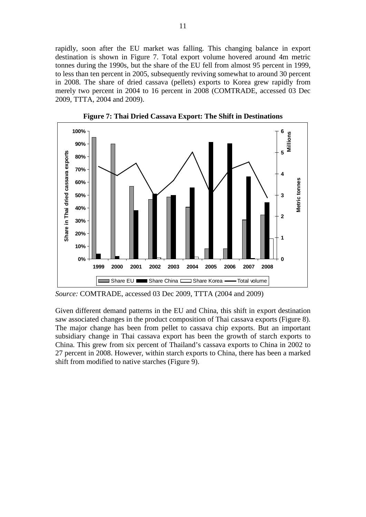rapidly, soon after the EU market was falling. This changing balance in export destination is shown in Figure 7. Total export volume hovered around 4m metric tonnes during the 1990s, but the share of the EU fell from almost 95 percent in 1999, to less than ten percent in 2005, subsequently reviving somewhat to around 30 percent in 2008. The share of dried cassava (pellets) exports to Korea grew rapidly from merely two percent in 2004 to 16 percent in 2008 (COMTRADE, accessed 03 Dec 2009, TTTA, 2004 and 2009).



**Figure 7: Thai Dried Cassava Export: The Shift in Destinations**

*Source:* COMTRADE, accessed 03 Dec 2009, TTTA (2004 and 2009)

Given different demand patterns in the EU and China, this shift in export destination saw associated changes in the product composition of Thai cassava exports (Figure 8). The major change has been from pellet to cassava chip exports. But an important subsidiary change in Thai cassava export has been the growth of starch exports to China. This grew from six percent of Thailand's cassava exports to China in 2002 to 27 percent in 2008. However, within starch exports to China, there has been a marked shift from modified to native starches (Figure 9).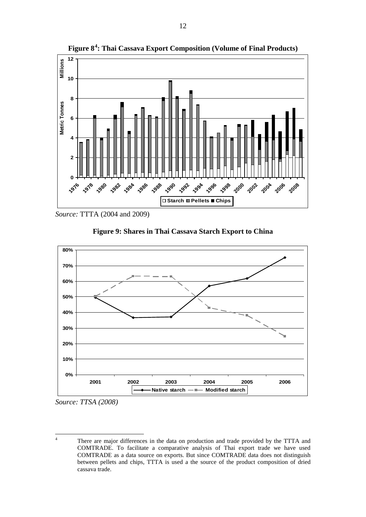

**Figure 8[4](#page-14-0) : Thai Cassava Export Composition (Volume of Final Products)**







*Source: TTSA (2008)*

<span id="page-14-0"></span><sup>&</sup>lt;sup>4</sup> There are major differences in the data on production and trade provided by the TTTA and COMTRADE. To facilitate a comparative analysis of Thai export trade we have used COMTRADE as a data source on exports. But since COMTRADE data does not distinguish between pellets and chips, TTTA is used a the source of the product composition of dried cassava trade.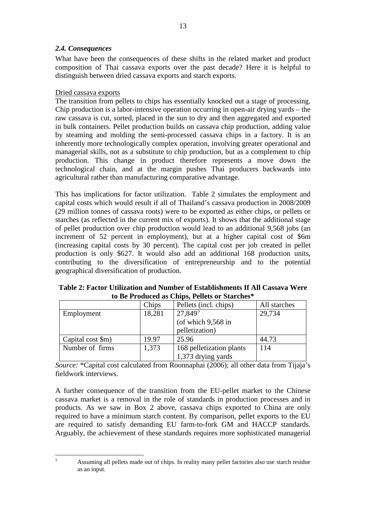# *2.4. Consequences*

What have been the consequences of these shifts in the related market and product composition of Thai cassava exports over the past decade? Here it is helpful to distinguish between dried cassava exports and starch exports.

#### Dried cassava exports

The transition from pellets to chips has essentially knocked out a stage of processing. Chip production is a labor-intensive operation occurring in open-air drying yards – the raw cassava is cut, sorted, placed in the sun to dry and then aggregated and exported in bulk containers. Pellet production builds on cassava chip production, adding value by steaming and molding the semi-processed cassava chips in a factory. It is an inherently more technologically complex operation, involving greater operational and managerial skills, not as a substitute to chip production, but as a complement to chip production. This change in product therefore represents a move down the technological chain, and at the margin pushes Thai producers backwards into agricultural rather than manufacturing comparative advantage.

This has implications for factor utilization. Table 2 simulates the employment and capital costs which would result if all of Thailand's cassava production in 2008/2009 (29 million tonnes of cassava roots) were to be exported as either chips, or pellets or starches (as reflected in the current mix of exports). It shows that the additional stage of pellet production over chip production would lead to an additional 9,568 jobs (an increment of 52 percent in employment), but at a higher capital cost of \$6m (increasing capital costs by 30 percent). The capital cost per job created in pellet production is only \$627. It would also add an additional 168 production units, contributing to the diversification of entrepreneurship and to the potential geographical diversification of production.

| to be I roughly as Unips, I theis or startings |        |                                                |              |  |  |  |
|------------------------------------------------|--------|------------------------------------------------|--------------|--|--|--|
|                                                | Chips  | Pellets (incl. chips)                          | All starches |  |  |  |
| Employment                                     | 18,281 | $27,849^{\circ}$                               | 29,734       |  |  |  |
|                                                |        | (of which $9,568$ in                           |              |  |  |  |
|                                                |        | pelletization)                                 |              |  |  |  |
| Capital cost \$m)                              | 19.97  | 25.96                                          | 44.73        |  |  |  |
| Number of firms                                | 1,373  | 168 pelletization plants<br>1,373 drying yards | 114          |  |  |  |

**Table 2: Factor Utilization and Number of Establishments If All Cassava Were to Be Produced as Chips, Pellets or Starches\***

*Source:* \*Capital cost calculated from Roonnaphai (2006); all other data from Tijaja's fieldwork interviews.

A further consequence of the transition from the EU-pellet market to the Chinese cassava market is a removal in the role of standards in production processes and in products. As we saw in Box 2 above, cassava chips exported to China are only required to have a minimum starch content. By comparison, pellet exports to the EU are required to satisfy demanding EU farm-to-fork GM and HACCP standards. Arguably, the achievement of these standards requires more sophisticated managerial

<span id="page-15-0"></span><sup>5</sup> Assuming all pellets made out of chips. In reality many pellet factories also use starch residue as an input.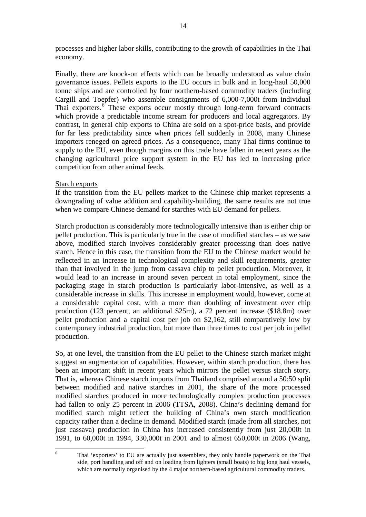processes and higher labor skills, contributing to the growth of capabilities in the Thai economy.

Finally, there are knock-on effects which can be broadly understood as value chain governance issues. Pellets exports to the EU occurs in bulk and in long-haul 50,000 tonne ships and are controlled by four northern-based commodity traders (including Cargill and Toepfer) who assemble consignments of 6,000-7,000t from individual Thai exporters.<sup>[6](#page-16-0)</sup> These exports occur mostly through long-term forward contracts which provide a predictable income stream for producers and local aggregators. By contrast, in general chip exports to China are sold on a spot-price basis, and provide for far less predictability since when prices fell suddenly in 2008, many Chinese importers reneged on agreed prices. As a consequence, many Thai firms continue to supply to the EU, even though margins on this trade have fallen in recent years as the changing agricultural price support system in the EU has led to increasing price competition from other animal feeds.

#### Starch exports

If the transition from the EU pellets market to the Chinese chip market represents a downgrading of value addition and capability-building, the same results are not true when we compare Chinese demand for starches with EU demand for pellets.

Starch production is considerably more technologically intensive than is either chip or pellet production. This is particularly true in the case of modified starches – as we saw above, modified starch involves considerably greater processing than does native starch. Hence in this case, the transition from the EU to the Chinese market would be reflected in an increase in technological complexity and skill requirements, greater than that involved in the jump from cassava chip to pellet production. Moreover, it would lead to an increase in around seven percent in total employment, since the packaging stage in starch production is particularly labor-intensive, as well as a considerable increase in skills. This increase in employment would, however, come at a considerable capital cost, with a more than doubling of investment over chip production (123 percent, an additional \$25m), a 72 percent increase (\$18.8m) over pellet production and a capital cost per job on \$2,162, still comparatively low by contemporary industrial production, but more than three times to cost per job in pellet production.

So, at one level, the transition from the EU pellet to the Chinese starch market might suggest an augmentation of capabilities. However, within starch production, there has been an important shift in recent years which mirrors the pellet versus starch story. That is, whereas Chinese starch imports from Thailand comprised around a 50:50 split between modified and native starches in 2001, the share of the more processed modified starches produced in more technologically complex production processes had fallen to only 25 percent in 2006 (TTSA, 2008). China's declining demand for modified starch might reflect the building of China's own starch modification capacity rather than a decline in demand. Modified starch (made from all starches, not just cassava) production in China has increased consistently from just 20,000t in 1991, to 60,000t in 1994, 330,000t in 2001 and to almost 650,000t in 2006 (Wang,

<span id="page-16-0"></span> $6$  Thai 'exporters' to EU are actually just assemblers, they only handle paperwork on the Thai side, port handling and off and on loading from lighters (small boats) to big long haul vessels, which are normally organised by the 4 major northern-based agricultural commodity traders.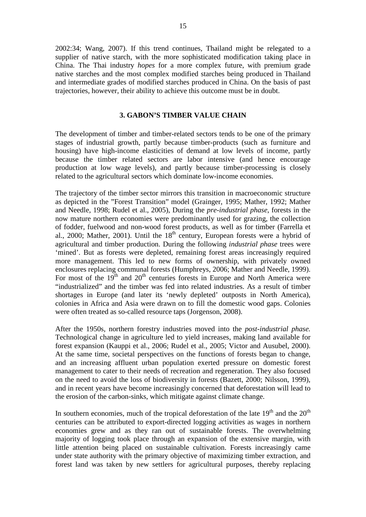2002:34; Wang, 2007). If this trend continues, Thailand might be relegated to a supplier of native starch, with the more sophisticated modification taking place in China. The Thai industry *hopes* for a more complex future, with premium grade native starches and the most complex modified starches being produced in Thailand and intermediate grades of modified starches produced in China. On the basis of past trajectories, however, their ability to achieve this outcome must be in doubt.

#### **3. GABON'S TIMBER VALUE CHAIN**

The development of timber and timber-related sectors tends to be one of the primary stages of industrial growth, partly because timber-products (such as furniture and housing) have high-income elasticities of demand at low levels of income, partly because the timber related sectors are labor intensive (and hence encourage production at low wage levels), and partly because timber-processing is closely related to the agricultural sectors which dominate low-income economies.

The trajectory of the timber sector mirrors this transition in macroeconomic structure as depicted in the "Forest Transition" model (Grainger, 1995; Mather, 1992; Mather and Needle, 1998; Rudel et al., 2005), During the *pre-industrial phase*, forests in the now mature northern economies were predominantly used for grazing, the collection of fodder, fuelwood and non-wood forest products, as well as for timber (Farrella et al., 2000; Mather, 2001). Until the  $18<sup>th</sup>$  century, European forests were a hybrid of agricultural and timber production. During the following *industrial phase* trees were 'mined'. But as forests were depleted, remaining forest areas increasingly required more management. This led to new forms of ownership, with privately owned enclosures replacing communal forests (Humphreys, 2006; Mather and Needle, 1999). For most of the  $19<sup>th</sup>$  and  $20<sup>th</sup>$  centuries forests in Europe and North America were "industrialized" and the timber was fed into related industries. As a result of timber shortages in Europe (and later its 'newly depleted' outposts in North America), colonies in Africa and Asia were drawn on to fill the domestic wood gaps. Colonies were often treated as so-called resource taps (Jorgenson, 2008).

After the 1950s, northern forestry industries moved into the *post-industrial phase.* Technological change in agriculture led to yield increases, making land available for forest expansion (Kauppi et al., 2006; Rudel et al., 2005; Victor and Ausubel, 2000). At the same time, societal perspectives on the functions of forests began to change, and an increasing affluent urban population exerted pressure on domestic forest management to cater to their needs of recreation and regeneration. They also focused on the need to avoid the loss of biodiversity in forests (Bazett, 2000; Nilsson, 1999), and in recent years have become increasingly concerned that deforestation will lead to the erosion of the carbon-sinks, which mitigate against climate change.

In southern economies, much of the tropical deforestation of the late  $19<sup>th</sup>$  and the  $20<sup>th</sup>$ centuries can be attributed to export-directed logging activities as wages in northern economies grew and as they ran out of sustainable forests. The overwhelming majority of logging took place through an expansion of the extensive margin, with little attention being placed on sustainable cultivation. Forests increasingly came under state authority with the primary objective of maximizing timber extraction, and forest land was taken by new settlers for agricultural purposes, thereby replacing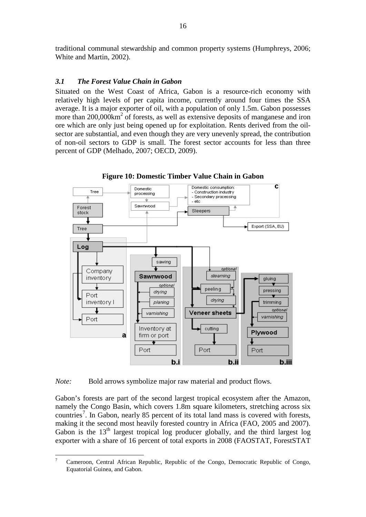traditional communal stewardship and common property systems (Humphreys, 2006; White and Martin, 2002).

#### *3.1 The Forest Value Chain in Gabon*

Situated on the West Coast of Africa, Gabon is a resource-rich economy with relatively high levels of per capita income, currently around four times the SSA average. It is a major exporter of oil, with a population of only 1.5m. Gabon possesses more than  $200,000 \text{km}^2$  of forests, as well as extensive deposits of manganese and iron ore which are only just being opened up for exploitation. Rents derived from the oilsector are substantial, and even though they are very unevenly spread, the contribution of non-oil sectors to GDP is small. The forest sector accounts for less than three percent of GDP (Melhado, 2007; OECD, 2009).



**Figure 10: Domestic Timber Value Chain in Gabon**

*Note:* Bold arrows symbolize major raw material and product flows.

Gabon's forests are part of the second largest tropical ecosystem after the Amazon, namely the Congo Basin, which covers 1.8m square kilometers, stretching across six countries<sup>[7](#page-18-0)</sup>. In Gabon, nearly 85 percent of its total land mass is covered with forests, making it the second most heavily forested country in Africa (FAO, 2005 and 2007). Gabon is the 13<sup>th</sup> largest tropical log producer globally, and the third largest log exporter with a share of 16 percent of total exports in 2008 (FAOSTAT, ForestSTAT

<span id="page-18-0"></span><sup>7</sup> Cameroon, Central African Republic, Republic of the Congo, Democratic Republic of Congo, Equatorial Guinea, and Gabon.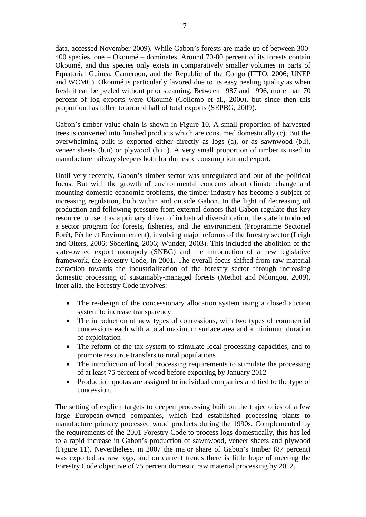data, accessed November 2009). While Gabon's forests are made up of between 300- 400 species, one – Okoumé – dominates. Around 70-80 percent of its forests contain Okoumé, and this species only exists in comparatively smaller volumes in parts of Equatorial Guinea, Cameroon, and the Republic of the Congo (ITTO, 2006; UNEP and WCMC). Okoumé is particularly favored due to its easy peeling quality as when fresh it can be peeled without prior steaming. Between 1987 and 1996, more than 70 percent of log exports were Okoumé (Collomb et al., 2000), but since then this proportion has fallen to around half of total exports (SEPBG, 2009).

Gabon's timber value chain is shown in Figure 10. A small proportion of harvested trees is converted into finished products which are consumed domestically (c). But the overwhelming bulk is exported either directly as logs (a), or as sawnwood (b.i), veneer sheets (b.ii) or plywood (b.iii). A very small proportion of timber is used to manufacture railway sleepers both for domestic consumption and export.

Until very recently, Gabon's timber sector was unregulated and out of the political focus. But with the growth of environmental concerns about climate change and mounting domestic economic problems, the timber industry has become a subject of increasing regulation, both within and outside Gabon. In the light of decreasing oil production and following pressure from external donors that Gabon regulate this key resource to use it as a primary driver of industrial diversification, the state introduced a sector program for forests, fisheries, and the environment (Programme Sectoriel Forêt, Pêche et Environnement), involving major reforms of the forestry sector (Leigh and Olters, 2006; Söderling, 2006; Wunder, 2003). This included the abolition of the state-owned export monopoly (SNBG) and the introduction of a new legislative framework, the Forestry Code, in 2001. The overall focus shifted from raw material extraction towards the industrialization of the forestry sector through increasing domestic processing of sustainably-managed forests (Methot and Ndongou, 2009). Inter alia, the Forestry Code involves:

- The re-design of the concessionary allocation system using a closed auction system to increase transparency
- The introduction of new types of concessions, with two types of commercial concessions each with a total maximum surface area and a minimum duration of exploitation
- The reform of the tax system to stimulate local processing capacities, and to promote resource transfers to rural populations
- The introduction of local processing requirements to stimulate the processing of at least 75 percent of wood before exporting by January 2012
- Production quotas are assigned to individual companies and tied to the type of concession.

The setting of explicit targets to deepen processing built on the trajectories of a few large European-owned companies, which had established processing plants to manufacture primary processed wood products during the 1990s. Complemented by the requirements of the 2001 Forestry Code to process logs domestically, this has led to a rapid increase in Gabon's production of sawnwood, veneer sheets and plywood (Figure 11). Nevertheless, in 2007 the major share of Gabon's timber (87 percent) was exported as raw logs, and on current trends there is little hope of meeting the Forestry Code objective of 75 percent domestic raw material processing by 2012.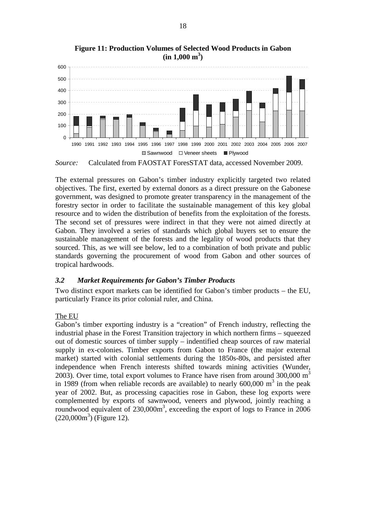

**Figure 11: Production Volumes of Selected Wood Products in Gabon (in 1,000 m3 )**



The external pressures on Gabon's timber industry explicitly targeted two related objectives. The first, exerted by external donors as a direct pressure on the Gabonese government, was designed to promote greater transparency in the management of the forestry sector in order to facilitate the sustainable management of this key global resource and to widen the distribution of benefits from the exploitation of the forests. The second set of pressures were indirect in that they were not aimed directly at Gabon. They involved a series of standards which global buyers set to ensure the sustainable management of the forests and the legality of wood products that they sourced. This, as we will see below, led to a combination of both private and public standards governing the procurement of wood from Gabon and other sources of tropical hardwoods.

# *3.2 Market Requirements for Gabon's Timber Products*

Two distinct export markets can be identified for Gabon's timber products – the EU, particularly France its prior colonial ruler, and China.

#### The EU

Gabon's timber exporting industry is a "creation" of French industry, reflecting the industrial phase in the Forest Transition trajectory in which northern firms – squeezed out of domestic sources of timber supply – indentified cheap sources of raw material supply in ex-colonies. Timber exports from Gabon to France (the major external market) started with colonial settlements during the 1850s-80s, and persisted after independence when French interests shifted towards mining activities (Wunder, 2003). Over time, total export volumes to France have risen from around  $300,000 \text{ m}^3$ in 1989 (from when reliable records are available) to nearly  $600,000 \text{ m}^3$  in the peak year of 2002. But, as processing capacities rose in Gabon, these log exports were complemented by exports of sawnwood, veneers and plywood, jointly reaching a roundwood equivalent of 230,000m<sup>3</sup>, exceeding the export of logs to France in 2006  $(220,000 \text{m}^3)$  (Figure 12).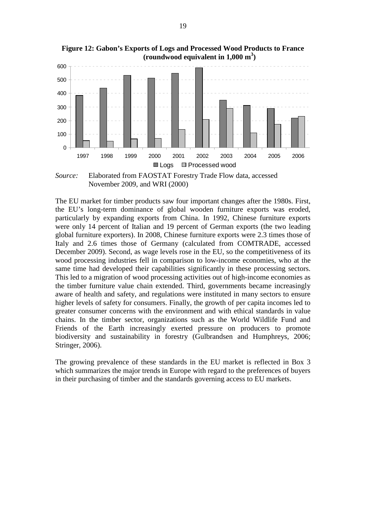

**Figure 12: Gabon's Exports of Logs and Processed Wood Products to France (roundwood equivalent in 1,000 m3 )**

*Source:* Elaborated from FAOSTAT Forestry Trade Flow data, accessed November 2009, and WRI (2000)

The EU market for timber products saw four important changes after the 1980s. First, the EU's long-term dominance of global wooden furniture exports was eroded, particularly by expanding exports from China. In 1992, Chinese furniture exports were only 14 percent of Italian and 19 percent of German exports (the two leading global furniture exporters). In 2008, Chinese furniture exports were 2.3 times those of Italy and 2.6 times those of Germany (calculated from COMTRADE, accessed December 2009). Second, as wage levels rose in the EU, so the competitiveness of its wood processing industries fell in comparison to low-income economies, who at the same time had developed their capabilities significantly in these processing sectors. This led to a migration of wood processing activities out of high-income economies as the timber furniture value chain extended. Third, governments became increasingly aware of health and safety, and regulations were instituted in many sectors to ensure higher levels of safety for consumers. Finally, the growth of per capita incomes led to greater consumer concerns with the environment and with ethical standards in value chains. In the timber sector, organizations such as the World Wildlife Fund and Friends of the Earth increasingly exerted pressure on producers to promote biodiversity and sustainability in forestry (Gulbrandsen and Humphreys, 2006; Stringer, 2006).

The growing prevalence of these standards in the EU market is reflected in Box 3 which summarizes the major trends in Europe with regard to the preferences of buyers in their purchasing of timber and the standards governing access to EU markets.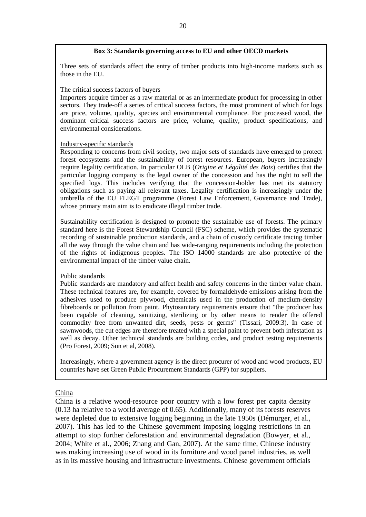#### **Box 3: Standards governing access to EU and other OECD markets**

Three sets of standards affect the entry of timber products into high-income markets such as those in the EU.

#### The critical success factors of buyers

Importers acquire timber as a raw material or as an intermediate product for processing in other sectors. They trade-off a series of critical success factors, the most prominent of which for logs are price, volume, quality, species and environmental compliance. For processed wood, the dominant critical success factors are price, volume, quality, product specifications, and environmental considerations.

#### Industry-specific standards

Responding to concerns from civil society, two major sets of standards have emerged to protect forest ecosystems and the sustainability of forest resources. European, buyers increasingly require legality certification. In particular OLB (*Origine et Légalité des Bois*) certifies that the particular logging company is the legal owner of the concession and has the right to sell the specified logs. This includes verifying that the concession-holder has met its statutory obligations such as paying all relevant taxes. Legality certification is increasingly under the umbrella of the EU FLEGT programme (Forest Law Enforcement, Governance and Trade), whose primary main aim is to eradicate illegal timber trade.

Sustainability certification is designed to promote the sustainable use of forests. The primary standard here is the Forest Stewardship Council (FSC) scheme, which provides the systematic recording of sustainable production standards, and a chain of custody certificate tracing timber all the way through the value chain and has wide-ranging requirements including the protection of the rights of indigenous peoples. The ISO 14000 standards are also protective of the environmental impact of the timber value chain.

#### Public standards

Public standards are mandatory and affect health and safety concerns in the timber value chain. These technical features are, for example, covered by formaldehyde emissions arising from the adhesives used to produce plywood, chemicals used in the production of medium-density fibreboards or pollution from paint. Phytosanitary requirements ensure that "the producer has been capable of cleaning, sanitizing, sterilizing or by other means to render the offered commodity free from unwanted dirt, seeds, pests or germs" (Tissari, 2009:3). In case of sawnwoods, the cut edges are therefore treated with a special paint to prevent both infestation as well as decay. Other technical standards are building codes, and product testing requirements (Pro Forest, 2009; Sun et al, 2008).

Increasingly, where a government agency is the direct procurer of wood and wood products, EU countries have set Green Public Procurement Standards (GPP) for suppliers.

#### China

China is a relative wood-resource poor country with a low forest per capita density (0.13 ha relative to a world average of 0.65). Additionally, many of its forests reserves were depleted due to extensive logging beginning in the late 1950s (Démurger, et al., 2007). This has led to the Chinese government imposing logging restrictions in an attempt to stop further deforestation and environmental degradation (Bowyer, et al., 2004; White et al., 2006; Zhang and Gan, 2007). At the same time, Chinese industry was making increasing use of wood in its furniture and wood panel industries, as well as in its massive housing and infrastructure investments. Chinese government officials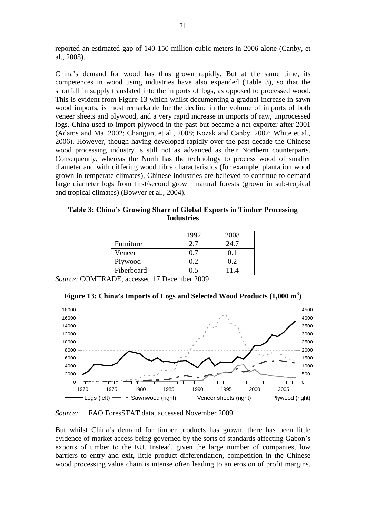reported an estimated gap of 140-150 million cubic meters in 2006 alone (Canby, et al., 2008).

China's demand for wood has thus grown rapidly. But at the same time, its competences in wood using industries have also expanded (Table 3), so that the shortfall in supply translated into the imports of logs, as opposed to processed wood. This is evident from Figure 13 which whilst documenting a gradual increase in sawn wood imports, is most remarkable for the decline in the volume of imports of both veneer sheets and plywood, and a very rapid increase in imports of raw, unprocessed logs. China used to import plywood in the past but became a net exporter after 2001 (Adams and Ma, 2002; Changjin, et al., 2008; Kozak and Canby, 2007; White et al., 2006). However, though having developed rapidly over the past decade the Chinese wood processing industry is still not as advanced as their Northern counterparts. Consequently, whereas the North has the technology to process wood of smaller diameter and with differing wood fibre characteristics (for example, plantation wood grown in temperate climates), Chinese industries are believed to continue to demand large diameter logs from first/second growth natural forests (grown in sub-tropical and tropical climates) (Bowyer et al., 2004).

**Table 3: China's Growing Share of Global Exports in Timber Processing Industries**

|            |    | 2008 |
|------------|----|------|
| Furniture  |    | 24.7 |
| Veneer     |    |      |
| Plywood    | 02 | 02   |
| Fiberboard |    |      |

*Source:* COMTRADE, accessed 17 December 2009



**Figure 13: China's Imports of Logs and Selected Wood Products (1,000 m3 )**

*Source:* FAO ForesSTAT data, accessed November 2009

But whilst China's demand for timber products has grown, there has been little evidence of market access being governed by the sorts of standards affecting Gabon's exports of timber to the EU. Instead, given the large number of companies, low barriers to entry and exit, little product differentiation, competition in the Chinese wood processing value chain is intense often leading to an erosion of profit margins.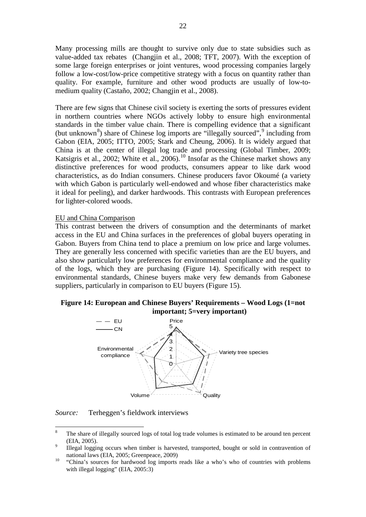Many processing mills are thought to survive only due to state subsidies such as value-added tax rebates (Changjin et al., 2008; TFT, 2007). With the exception of some large foreign enterprises or joint ventures, wood processing companies largely follow a low-cost/low-price competitive strategy with a focus on quantity rather than quality. For example, furniture and other wood products are usually of low-tomedium quality (Castaño, 2002; Changjin et al., 2008).

There are few signs that Chinese civil society is exerting the sorts of pressures evident in northern countries where NGOs actively lobby to ensure high environmental standards in the timber value chain. There is compelling evidence that a significant (but unknown<sup>[8](#page-24-0)</sup>) share of Chinese log imports are "illegally sourced",  $9$  including from Gabon (EIA, 2005; ITTO, 2005; Stark and Cheung, 2006). It is widely argued that China is at the center of illegal log trade and processing (Global Timber, 2009; Katsigris et al., 2002; White et al., 2006). [10](#page-24-2) Insofar as the Chinese market shows any distinctive preferences for wood products, consumers appear to like dark wood characteristics, as do Indian consumers. Chinese producers favor Okoumé (a variety with which Gabon is particularly well-endowed and whose fiber characteristics make it ideal for peeling), and darker hardwoods. This contrasts with European preferences for lighter-colored woods.

#### EU and China Comparison

This contrast between the drivers of consumption and the determinants of market access in the EU and China surfaces in the preferences of global buyers operating in Gabon. Buyers from China tend to place a premium on low price and large volumes. They are generally less concerned with specific varieties than are the EU buyers, and also show particularly low preferences for environmental compliance and the quality of the logs, which they are purchasing (Figure 14). Specifically with respect to environmental standards, Chinese buyers make very few demands from Gabonese suppliers, particularly in comparison to EU buyers (Figure 15).

### **Figure 14: European and Chinese Buyers' Requirements – Wood Logs (1=not important; 5=very important)**



*Source:* Terheggen's fieldwork interviews

<span id="page-24-0"></span><sup>&</sup>lt;sup>8</sup> The share of illegally sourced logs of total log trade volumes is estimated to be around ten percent (EIA, 2005). <sup>9</sup> Illegal logging occurs when timber is harvested, transported, bought or sold in contravention of

<span id="page-24-1"></span>national laws (EIA, 2005; Greenpeace, 2009)<br><sup>10</sup> "China's sources for hardwood log imports reads like a who's who of countries with problems

<span id="page-24-2"></span>with illegal logging" (EIA, 2005:3)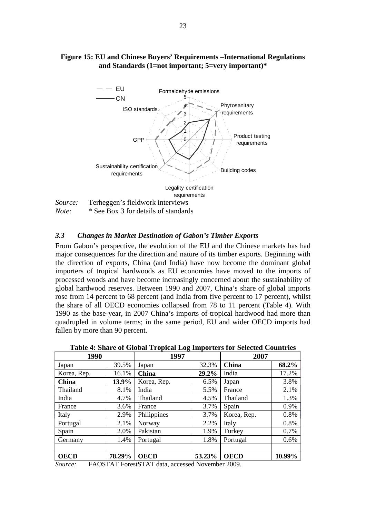



#### *3.3 Changes in Market Destination of Gabon's Timber Exports*

From Gabon's perspective, the evolution of the EU and the Chinese markets has had major consequences for the direction and nature of its timber exports. Beginning with the direction of exports, China (and India) have now become the dominant global importers of tropical hardwoods as EU economies have moved to the imports of processed woods and have become increasingly concerned about the sustainability of global hardwood reserves. Between 1990 and 2007, China's share of global imports rose from 14 percent to 68 percent (and India from five percent to 17 percent), whilst the share of all OECD economies collapsed from 78 to 11 percent (Table 4). With 1990 as the base-year, in 2007 China's imports of tropical hardwood had more than quadrupled in volume terms; in the same period, EU and wider OECD imports had fallen by more than 90 percent.

| 1990         |        | $\bullet$<br>1997 |        | 2007        |        |
|--------------|--------|-------------------|--------|-------------|--------|
| Japan        | 39.5%  | Japan             | 32.3%  | China       | 68.2%  |
| Korea, Rep.  | 16.1%  | <b>China</b>      | 29.2%  | India       | 17.2%  |
| <b>China</b> | 13.9%  | Korea, Rep.       | 6.5%   | Japan       | 3.8%   |
| Thailand     | 8.1%   | India             | 5.5%   | France      | 2.1%   |
| India        | 4.7%   | Thailand          | 4.5%   | Thailand    | 1.3%   |
| France       | 3.6%   | France            | 3.7%   | Spain       | 0.9%   |
| Italy        | 2.9%   | Philippines       | 3.7%   | Korea, Rep. | 0.8%   |
| Portugal     | 2.1%   | Norway            | 2.2%   | Italy       | 0.8%   |
| Spain        | 2.0%   | Pakistan          | 1.9%   | Turkey      | 0.7%   |
| Germany      | 1.4%   | Portugal          | 1.8%   | Portugal    | 0.6%   |
|              |        |                   |        |             |        |
| <b>OECD</b>  | 78.29% | <b>OECD</b>       | 53.23% | <b>OECD</b> | 10.99% |

**Table 4: Share of Global Tropical Log Importers for Selected Countries**

*Source:* FAOSTAT ForestSTAT data, accessed November 2009.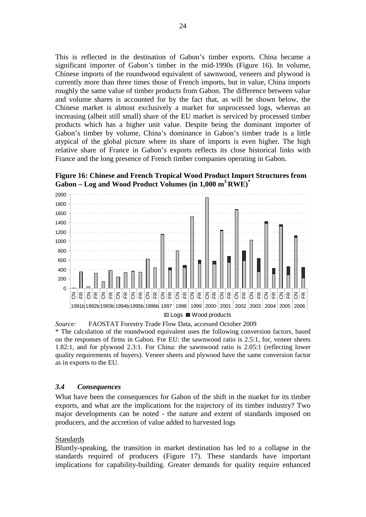This is reflected in the destination of Gabon's timber exports. China became a significant importer of Gabon's timber in the mid-1990s (Figure 16). In volume, Chinese imports of the roundwood equivalent of sawnwood, veneers and plywood is currently more than three times those of French imports, but in value, China imports roughly the same value of timber products from Gabon. The difference between value and volume shares is accounted for by the fact that, as will be shown below, the Chinese market is almost exclusively a market for unprocessed logs, whereas an increasing (albeit still small) share of the EU market is serviced by processed timber products which has a higher unit value. Despite being the dominant importer of Gabon's timber by volume, China's dominance in Gabon's timber trade is a little atypical of the global picture where its share of imports is even higher. The high relative share of France in Gabon's exports reflects its close historical links with France and the long presence of French timber companies operating in Gabon.

**Figure 16: Chinese and French Tropical Wood Product Import Structures from Gabon – Log and Wood Product Volumes (in 1,000 m3 RWE) \***

![](_page_26_Figure_2.jpeg)

*Source:* FAOSTAT Forestry Trade Flow Data, accessed October 2009 \* The calculation of the roundwood equivalent uses the following conversion factors, based on the responses of firms in Gabon. For EU: the sawnwood ratio is 2.5:1, for, veneer sheets 1.82:1, and for plywood 2.3:1. For China: the sawnwood ratio is 2.05:1 (reflecting lower quality requirements of buyers). Veneer sheets and plywood have the same conversion factor as in exports to the EU.

### *3.4 Consequences*

What have been the consequences for Gabon of the shift in the market for its timber exports, and what are the implications for the trajectory of its timber industry? Two major developments can be noted - the nature and extent of standards imposed on producers, and the accretion of value added to harvested logs

#### **Standards**

Bluntly-speaking, the transition in market destination has led to a collapse in the standards required of producers (Figure 17). These standards have important implications for capability-building. Greater demands for quality require enhanced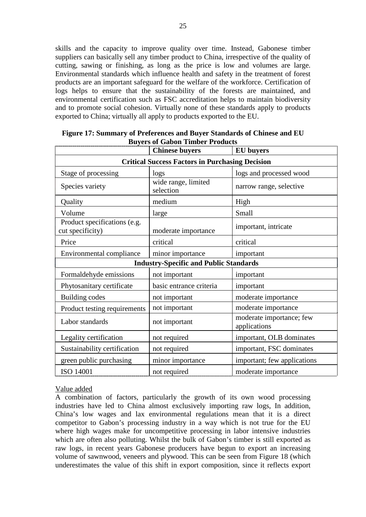skills and the capacity to improve quality over time. Instead, Gabonese timber suppliers can basically sell any timber product to China, irrespective of the quality of cutting, sawing or finishing, as long as the price is low and volumes are large. Environmental standards which influence health and safety in the treatment of forest products are an important safeguard for the welfare of the workforce. Certification of logs helps to ensure that the sustainability of the forests are maintained, and environmental certification such as FSC accreditation helps to maintain biodiversity and to promote social cohesion. Virtually none of these standards apply to products exported to China; virtually all apply to products exported to the EU.

|                                                        | <b>Chinese buyers</b>                         | <b>EU</b> buyers                         |  |  |  |  |
|--------------------------------------------------------|-----------------------------------------------|------------------------------------------|--|--|--|--|
| <b>Critical Success Factors in Purchasing Decision</b> |                                               |                                          |  |  |  |  |
| Stage of processing                                    | logs                                          | logs and processed wood                  |  |  |  |  |
| Species variety                                        | wide range, limited<br>selection              | narrow range, selective                  |  |  |  |  |
| Quality                                                | medium                                        | High                                     |  |  |  |  |
| Volume                                                 | large                                         | Small                                    |  |  |  |  |
| Product specifications (e.g.<br>cut specificity)       | moderate importance                           | important, intricate                     |  |  |  |  |
| Price                                                  | critical                                      | critical                                 |  |  |  |  |
| Environmental compliance                               | minor importance                              | important                                |  |  |  |  |
|                                                        | <b>Industry-Specific and Public Standards</b> |                                          |  |  |  |  |
| Formaldehyde emissions<br>not important<br>important   |                                               |                                          |  |  |  |  |
| Phytosanitary certificate                              | basic entrance criteria                       | important                                |  |  |  |  |
| <b>Building codes</b>                                  | not important                                 | moderate importance                      |  |  |  |  |
| Product testing requirements                           | not important                                 | moderate importance                      |  |  |  |  |
| Labor standards                                        | not important                                 | moderate importance; few<br>applications |  |  |  |  |
| Legality certification                                 | not required                                  | important, OLB dominates                 |  |  |  |  |
| Sustainability certification                           | not required                                  | important, FSC dominates                 |  |  |  |  |
| green public purchasing                                | minor importance                              | important; few applications              |  |  |  |  |
| <b>ISO 14001</b>                                       | not required                                  | moderate importance                      |  |  |  |  |

**Figure 17: Summary of Preferences and Buyer Standards of Chinese and EU Buyers of Gabon Timber Products**

# Value added

A combination of factors, particularly the growth of its own wood processing industries have led to China almost exclusively importing raw logs, In addition, China's low wages and lax environmental regulations mean that it is a direct competitor to Gabon's processing industry in a way which is not true for the EU where high wages make for uncompetitive processing in labor intensive industries which are often also polluting. Whilst the bulk of Gabon's timber is still exported as raw logs, in recent years Gabonese producers have begun to export an increasing volume of sawnwood, veneers and plywood. This can be seen from Figure 18 (which underestimates the value of this shift in export composition, since it reflects export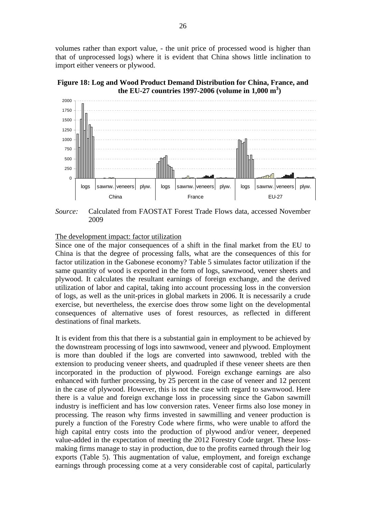volumes rather than export value, - the unit price of processed wood is higher than that of unprocessed logs) where it is evident that China shows little inclination to import either veneers or plywood.

**Figure 18: Log and Wood Product Demand Distribution for China, France, and the EU-27 countries 1997-2006 (volume in 1,000 m3 )**

![](_page_28_Figure_2.jpeg)

*Source:* Calculated from FAOSTAT Forest Trade Flows data, accessed November 2009

#### The development impact: factor utilization

Since one of the major consequences of a shift in the final market from the EU to China is that the degree of processing falls, what are the consequences of this for factor utilization in the Gabonese economy? Table 5 simulates factor utilization if the same quantity of wood is exported in the form of logs, sawnwood, veneer sheets and plywood. It calculates the resultant earnings of foreign exchange, and the derived utilization of labor and capital, taking into account processing loss in the conversion of logs, as well as the unit-prices in global markets in 2006. It is necessarily a crude exercise, but nevertheless, the exercise does throw some light on the developmental consequences of alternative uses of forest resources, as reflected in different destinations of final markets.

It is evident from this that there is a substantial gain in employment to be achieved by the downstream processing of logs into sawnwood, veneer and plywood. Employment is more than doubled if the logs are converted into sawnwood, trebled with the extension to producing veneer sheets, and quadrupled if these veneer sheets are then incorporated in the production of plywood. Foreign exchange earnings are also enhanced with further processing, by 25 percent in the case of veneer and 12 percent in the case of plywood. However, this is not the case with regard to sawnwood. Here there is a value and foreign exchange loss in processing since the Gabon sawmill industry is inefficient and has low conversion rates. Veneer firms also lose money in processing. The reason why firms invested in sawmilling and veneer production is purely a function of the Forestry Code where firms, who were unable to afford the high capital entry costs into the production of plywood and/or veneer, deepened value-added in the expectation of meeting the 2012 Forestry Code target. These lossmaking firms manage to stay in production, due to the profits earned through their log exports (Table 5). This augmentation of value, employment, and foreign exchange earnings through processing come at a very considerable cost of capital, particularly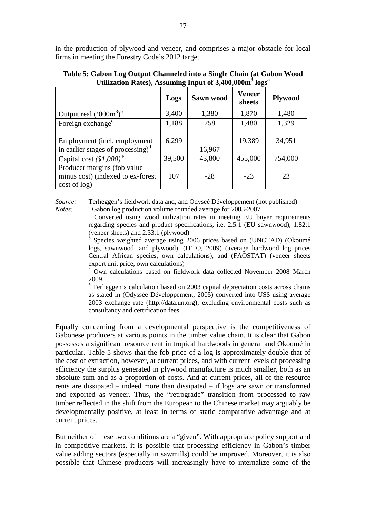in the production of plywood and veneer, and comprises a major obstacle for local firms in meeting the Forestry Code's 2012 target.

|                                                                                   | ъ<br>Logs | Sawn wood | <b>Veneer</b><br>sheets | <b>Plywood</b> |
|-----------------------------------------------------------------------------------|-----------|-----------|-------------------------|----------------|
| Output real $({}^{6}000m^{3})^{b}$                                                | 3,400     | 1,380     | 1,870                   | 1,480          |
| Foreign exchange <sup>c</sup>                                                     | 1,188     | 758       | 1,480                   | 1,329          |
| Employment (incl. employment<br>in earlier stages of processing) <sup>d</sup>     | 6,299     | 16,967    | 19,389                  | 34,951         |
| Capital cost $(\$1,000)$ <sup>e</sup>                                             | 39,500    | 43,800    | 455,000                 | 754,000        |
| Producer margins (fob value)<br>minus cost) (indexed to ex-forest<br>cost of log) | 107       | $-28$     | $-23$                   | 23             |

**Table 5: Gabon Log Output Channeled into a Single Chain (at Gabon Wood Utilization Rates), Assuming Input of 3,400,000m3 logs<sup>a</sup>**

*Source:* Terheggen's fieldwork data and, and Odyseé Développement (not published)

*Notes:* <sup>a</sup> Gabon log production volume rounded average for 2003-2007

<sup>b</sup> Converted using wood utilization rates in meeting EU buyer requirements regarding species and product specifications, i.e. 2.5:1 (EU sawnwood), 1.82:1 (veneer sheets) and 2.33:1 (plywood)

<sup>3</sup> Species weighted average using 2006 prices based on (UNCTAD) (Okoumé logs, sawnwood, and plywood), (ITTO, 2009) (average hardwood log prices Central African species, own calculations), and (FAOSTAT) (veneer sheets export unit price, own calculations)

<sup>4</sup> Own calculations based on fieldwork data collected November 2008–March 2009

 $5$  Terheggen's calculation based on 2003 capital depreciation costs across chains as stated in (Odyssée Développement, 2005) converted into US\$ using average 2003 exchange rate (http://data.un.org); excluding environmental costs such as consultancy and certification fees.

Equally concerning from a developmental perspective is the competitiveness of Gabonese producers at various points in the timber value chain. It is clear that Gabon possesses a significant resource rent in tropical hardwoods in general and Okoumé in particular. Table 5 shows that the fob price of a log is approximately double that of the cost of extraction, however, at current prices, and with current levels of processing efficiency the surplus generated in plywood manufacture is much smaller, both as an absolute sum and as a proportion of costs. And at current prices, all of the resource rents are dissipated – indeed more than dissipated – if logs are sawn or transformed and exported as veneer. Thus, the "retrograde" transition from processed to raw timber reflected in the shift from the European to the Chinese market may arguably be developmentally positive, at least in terms of static comparative advantage and at current prices.

But neither of these two conditions are a "given". With appropriate policy support and in competitive markets, it is possible that processing efficiency in Gabon's timber value adding sectors (especially in sawmills) could be improved. Moreover, it is also possible that Chinese producers will increasingly have to internalize some of the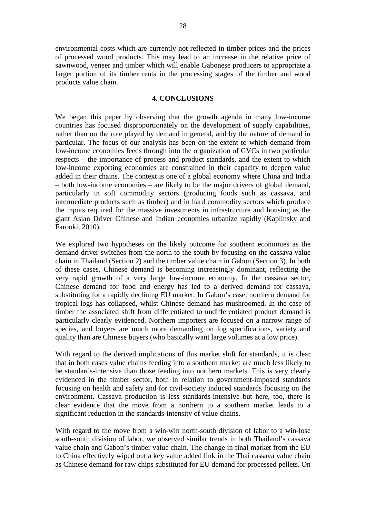environmental costs which are currently not reflected in timber prices and the prices of processed wood products. This may lead to an increase in the relative price of sawnwood, veneer and timber which will enable Gabonese producers to appropriate a larger portion of its timber rents in the processing stages of the timber and wood products value chain.

#### **4. CONCLUSIONS**

We began this paper by observing that the growth agenda in many low-income countries has focused disproportionately on the development of supply capabilities, rather than on the role played by demand in general, and by the nature of demand in particular. The focus of our analysis has been on the extent to which demand from low-income economies feeds through into the organization of GVCs in two particular respects – the importance of process and product standards, and the extent to which low-income exporting economies are constrained in their capacity to deepen value added in their chains. The context is one of a global economy where China and India – both low-income economies – are likely to be the major drivers of global demand, particularly in soft commodity sectors (producing foods such as cassava, and intermediate products such as timber) and in hard commodity sectors which produce the inputs required for the massive investments in infrastructure and housing as the giant Asian Driver Chinese and Indian economies urbanize rapidly (Kaplinsky and Farooki, 2010).

We explored two hypotheses on the likely outcome for southern economies as the demand driver switches from the north to the south by focusing on the cassava value chain in Thailand (Section 2) and the timber value chain in Gabon (Section 3). In both of these cases, Chinese demand is becoming increasingly dominant, reflecting the very rapid growth of a very large low-income economy. In the cassava sector, Chinese demand for food and energy has led to a derived demand for cassava, substituting for a rapidly declining EU market. In Gabon's case, northern demand for tropical logs has collapsed, whilst Chinese demand has mushroomed. In the case of timber the associated shift from differentiated to undifferentiated product demand is particularly clearly evidenced. Northern importers are focused on a narrow range of species, and buyers are much more demanding on log specifications, variety and quality than are Chinese buyers (who basically want large volumes at a low price).

With regard to the derived implications of this market shift for standards, it is clear that in both cases value chains feeding into a southern market are much less likely to be standards-intensive than those feeding into northern markets. This is very clearly evidenced in the timber sector, both in relation to government-imposed standards focusing on health and safety and for civil-society induced standards focusing on the environment. Cassava production is less standards-intensive but here, too, there is clear evidence that the move from a northern to a southern market leads to a significant reduction in the standards-intensity of value chains.

With regard to the move from a win-win north-south division of labor to a win-lose south-south division of labor, we observed similar trends in both Thailand's cassava value chain and Gabon's timber value chain. The change in final market from the EU to China effectively wiped out a key value added link in the Thai cassava value chain as Chinese demand for raw chips substituted for EU demand for processed pellets. On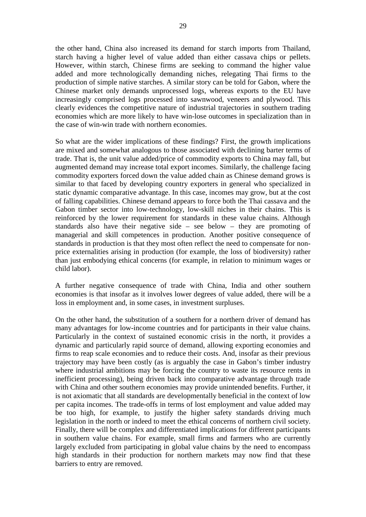the other hand, China also increased its demand for starch imports from Thailand, starch having a higher level of value added than either cassava chips or pellets. However, within starch, Chinese firms are seeking to command the higher value added and more technologically demanding niches, relegating Thai firms to the production of simple native starches. A similar story can be told for Gabon, where the Chinese market only demands unprocessed logs, whereas exports to the EU have increasingly comprised logs processed into sawnwood, veneers and plywood. This clearly evidences the competitive nature of industrial trajectories in southern trading economies which are more likely to have win-lose outcomes in specialization than in the case of win-win trade with northern economies.

So what are the wider implications of these findings? First, the growth implications are mixed and somewhat analogous to those associated with declining barter terms of trade. That is, the unit value added/price of commodity exports to China may fall, but augmented demand may increase total export incomes. Similarly, the challenge facing commodity exporters forced down the value added chain as Chinese demand grows is similar to that faced by developing country exporters in general who specialized in static dynamic comparative advantage. In this case, incomes may grow, but at the cost of falling capabilities. Chinese demand appears to force both the Thai cassava and the Gabon timber sector into low-technology, low-skill niches in their chains. This is reinforced by the lower requirement for standards in these value chains. Although standards also have their negative side – see below – they are promoting of managerial and skill competences in production. Another positive consequence of standards in production is that they most often reflect the need to compensate for nonprice externalities arising in production (for example, the loss of biodiversity) rather than just embodying ethical concerns (for example, in relation to minimum wages or child labor).

A further negative consequence of trade with China, India and other southern economies is that insofar as it involves lower degrees of value added, there will be a loss in employment and, in some cases, in investment surpluses.

On the other hand, the substitution of a southern for a northern driver of demand has many advantages for low-income countries and for participants in their value chains. Particularly in the context of sustained economic crisis in the north, it provides a dynamic and particularly rapid source of demand, allowing exporting economies and firms to reap scale economies and to reduce their costs. And, insofar as their previous trajectory may have been costly (as is arguably the case in Gabon's timber industry where industrial ambitions may be forcing the country to waste its resource rents in inefficient processing), being driven back into comparative advantage through trade with China and other southern economies may provide unintended benefits. Further, it is not axiomatic that all standards are developmentally beneficial in the context of low per capita incomes. The trade-offs in terms of lost employment and value added may be too high, for example, to justify the higher safety standards driving much legislation in the north or indeed to meet the ethical concerns of northern civil society. Finally, there will be complex and differentiated implications for different participants in southern value chains. For example, small firms and farmers who are currently largely excluded from participating in global value chains by the need to encompass high standards in their production for northern markets may now find that these barriers to entry are removed.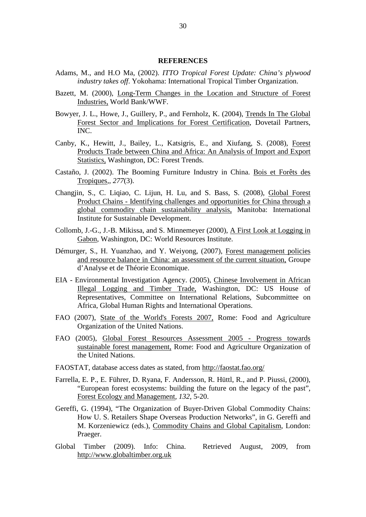#### **REFERENCES**

- Adams, M., and H.O Ma, (2002). *ITTO Tropical Forest Update: China's plywood industry takes off*. Yokohama: International Tropical Timber Organization.
- Bazett, M. (2000), Long-Term Changes in the Location and Structure of Forest Industries, World Bank/WWF.
- Bowyer, J. L., Howe, J., Guillery, P., and Fernholz, K. (2004), Trends In The Global Forest Sector and Implications for Forest Certification, Dovetail Partners, INC.
- Canby, K., Hewitt, J., Bailey, L., Katsigris, E., and Xiufang, S. (2008), Forest Products Trade between China and Africa: An Analysis of Import and Export Statistics, Washington, DC: Forest Trends.
- Castaño, J. (2002). The Booming Furniture Industry in China. Bois et Forêts des Tropiques*,, 277*(3).
- Changjin, S., C. Liqiao, C. Lijun, H. Lu, and S. Bass, S. (2008), Global Forest Product Chains - Identifying challenges and opportunities for China through a global commodity chain sustainability analysis, Manitoba: International Institute for Sustainable Development.
- Collomb, J.-G., J.-B. Mikissa, and S. Minnemeyer (2000), A First Look at Logging in Gabon, Washington, DC: World Resources Institute.
- Démurger, S., H. Yuanzhao, and Y. Weiyong, (2007), Forest management policies and resource balance in China: an assessment of the current situation, Groupe d'Analyse et de Théorie Economique.
- EIA Environmental Investigation Agency. (2005), Chinese Involvement in African Illegal Logging and Timber Trade, Washington, DC: US House of Representatives, Committee on International Relations, Subcommittee on Africa, Global Human Rights and International Operations.
- FAO (2007), State of the World's Forests 2007, Rome: Food and Agriculture Organization of the United Nations.
- FAO (2005), Global Forest Resources Assessment 2005 Progress towards sustainable forest management, Rome: Food and Agriculture Organization of the United Nations.
- FAOSTAT, database access dates as stated, from [http://faostat.fao.org/](http://faostat.fao.org/site/626/default.aspx#ancor)
- Farrella, E. P., E. Führer, D. Ryana, F. Andersson, R. Hüttl, R., and P. Piussi, (2000), "European forest ecosystems: building the future on the legacy of the past", Forest Ecology and Management*, 132*, 5-20.
- Gereffi, G. (1994), "The Organization of Buyer-Driven Global Commodity Chains: How U. S. Retailers Shape Overseas Production Networks", in G. Gereffi and M. Korzeniewicz (eds.), Commodity Chains and Global Capitalism, London: Praeger.
- Global Timber (2009). Info: China. Retrieved August, 2009, from [http://www.globaltimber.org.uk](http://www.globaltimber.org.uk/)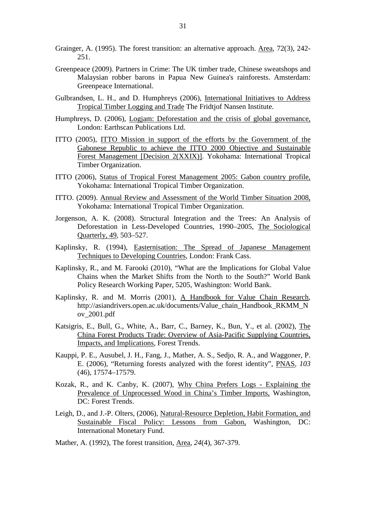- Grainger, A. (1995). The forest transition: an alternative approach. Area*,* 72(3), 242- 251.
- Greenpeace (2009). Partners in Crime: The UK timber trade, Chinese sweatshops and Malaysian robber barons in Papua New Guinea's rainforests. Amsterdam: Greenpeace International.
- Gulbrandsen, L. H., and D. Humphreys (2006), International Initiatives to Address Tropical Timber Logging and Trade The Fridtjof Nansen Institute.
- Humphreys, D. (2006), Logjam: Deforestation and the crisis of global governance, London: Earthscan Publications Ltd.
- ITTO (2005), ITTO Mission in support of the efforts by the Government of the Gabonese Republic to achieve the ITTO 2000 Objective and Sustainable Forest Management [Decision 2(XXIX)]. Yokohama: International Tropical Timber Organization.
- ITTO (2006), Status of Tropical Forest Management 2005: Gabon country profile, Yokohama: International Tropical Timber Organization.
- ITTO. (2009). Annual Review and Assessment of the World Timber Situation 2008, Yokohama: International Tropical Timber Organization.
- Jorgenson, A. K. (2008). Structural Integration and the Trees: An Analysis of Deforestation in Less-Developed Countries, 1990–2005, The Sociological Quarterly, 49*,* 503–527.
- Kaplinsky, R. (1994), Easternisation: The Spread of Japanese Management Techniques to Developing Countries, London: Frank Cass.
- Kaplinsky, R., and M. Farooki (2010), "What are the Implications for Global Value Chains when the Market Shifts from the North to the South?" World Bank Policy Research Working Paper, 5205, Washington: World Bank.
- Kaplinsky, R. and M. Morris (2001), A Handbook for Value Chain Research, http://asiandrivers.open.ac.uk/documents/Value\_chain\_Handbook\_RKMM\_N ov\_2001.pdf
- Katsigris, E., Bull, G., White, A., Barr, C., Barney, K., Bun, Y., et al. (2002), The China Forest Products Trade: Overview of Asia-Pacific Supplying Countries, Impacts, and Implications*,* Forest Trends.
- Kauppi, P. E., Ausubel, J. H., Fang, J., Mather, A. S., Sedjo, R. A., and Waggoner, P. E. (2006), "Returning forests analyzed with the forest identity", PNAS*, 103*  (46), 17574–17579.
- Kozak, R., and K. Canby, K. (2007), Why China Prefers Logs Explaining the Prevalence of Unprocessed Wood in China's Timber Imports, Washington, DC: Forest Trends.
- Leigh, D., and J.-P. Olters, (2006), Natural-Resource Depletion, Habit Formation, and Sustainable Fiscal Policy: Lessons from Gabon, Washington, DC: International Monetary Fund.
- Mather, A. (1992), The forest transition, Area*, 24*(4), 367-379.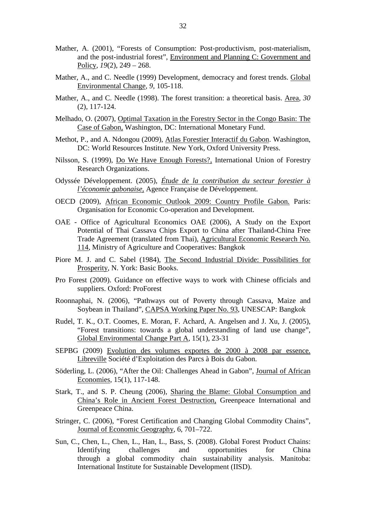- Mather, A. (2001), "Forests of Consumption: Post-productivism, post-materialism, and the post-industrial forest", Environment and Planning C: Government and Policy*, 19*(2), 249 – 268.
- Mather, A., and C. Needle (1999) Development, democracy and forest trends. Global Environmental Change*, 9*, 105-118.
- Mather, A., and C. Needle (1998). The forest transition: a theoretical basis. Area*, 30*  (2), 117-124.
- Melhado, O. (2007), Optimal Taxation in the Forestry Sector in the Congo Basin: The Case of Gabon, Washington, DC: International Monetary Fund.
- Methot, P., and A. Ndongou (2009), Atlas Forestier Interactif du Gabon. Washington, DC: World Resources Institute. New York, Oxford University Press.
- Nilsson, S. (1999), Do We Have Enough Forests?, International Union of Forestry Research Organizations.
- Odyssée Développement. (2005), *Étude de la contribution du secteur forestier à l'économie gabonaise,* Agence Française de Développement.
- OECD (2009), African Economic Outlook 2009: Country Profile Gabon. Paris: Organisation for Economic Co-operation and Development.
- OAE Office of Agricultural Economics OAE (2006), A Study on the Export Potential of Thai Cassava Chips Export to China after Thailand-China Free Trade Agreement (translated from Thai), Agricultural Economic Research No. 114, Ministry of Agriculture and Cooperatives: Bangkok
- Piore M. J. and C. Sabel (1984), The Second Industrial Divide: Possibilities for Prosperity, N. York: Basic Books.
- Pro Forest (2009). Guidance on effective ways to work with Chinese officials and suppliers. Oxford: ProForest
- Roonnaphai, N. (2006), "Pathways out of Poverty through Cassava, Maize and Soybean in Thailand", CAPSA Working Paper No. 93, UNESCAP: Bangkok
- Rudel, T. K., O.T. Coomes, E. Moran, F. Achard, A. Angelsen and J. Xu, J. (2005), "Forest transitions: towards a global understanding of land use change", Global Environmental Change Part A*,* 15(1), 23-31
- SEPBG (2009) Evolution des volumes exportes de 2000 à 2008 par essence. Libreville Société d'Exploitation des Parcs à Bois du Gabon.
- Söderling, L. (2006), "After the Oil: Challenges Ahead in Gabon", Journal of African Economies*,* 15(1), 117-148.
- Stark, T., and S. P. Cheung (2006), Sharing the Blame: Global Consumption and China's Role in Ancient Forest Destruction, Greenpeace International and Greenpeace China.
- Stringer, C. (2006), "Forest Certification and Changing Global Commodity Chains", Journal of Economic Geography, 6, 701–722.
- Sun, C., Chen, L., Chen, L., Han, L., Bass, S. (2008). Global Forest Product Chains: Identifying challenges and opportunities for China through a global commodity chain sustainability analysis. Manitoba: International Institute for Sustainable Development (IISD).